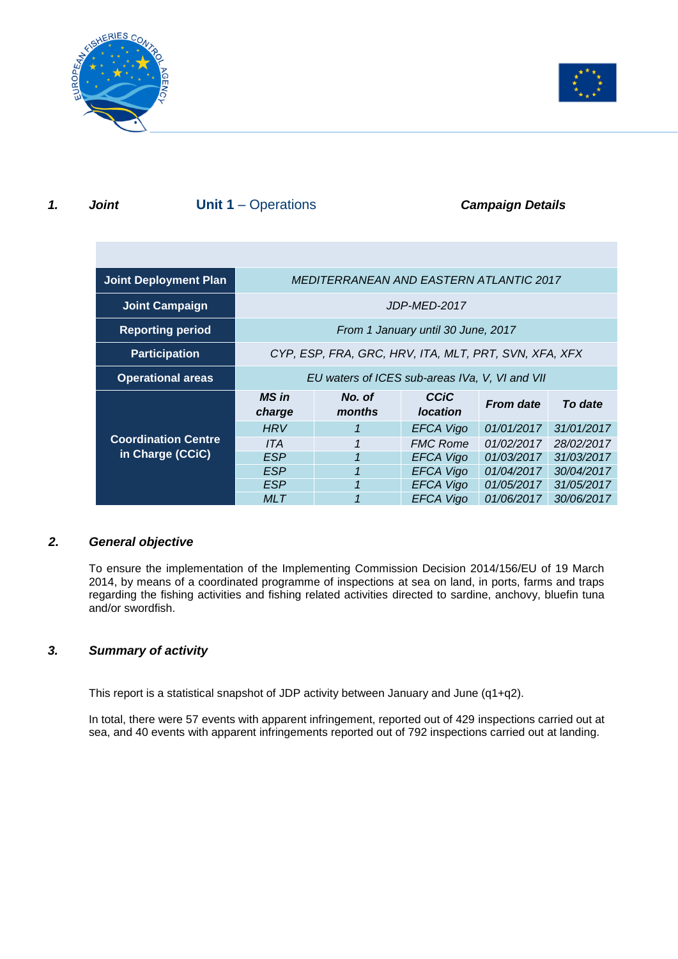



## **1. Joint Unit 1** – Operations **Campaign Details**

| <b>Joint Deployment Plan</b> | <b>MEDITERRANEAN AND EASTERN ATLANTIC 2017</b>        |                         |                                |                  |            |
|------------------------------|-------------------------------------------------------|-------------------------|--------------------------------|------------------|------------|
| <b>Joint Campaign</b>        | JDP-MED-2017                                          |                         |                                |                  |            |
| <b>Reporting period</b>      | From 1 January until 30 June, 2017                    |                         |                                |                  |            |
| <b>Participation</b>         | CYP, ESP, FRA, GRC, HRV, ITA, MLT, PRT, SVN, XFA, XFX |                         |                                |                  |            |
| <b>Operational areas</b>     | EU waters of ICES sub-areas IVa, V, VI and VII        |                         |                                |                  |            |
|                              |                                                       |                         |                                |                  |            |
|                              | <b>MS</b> in<br>charge                                | No. of<br>months        | <b>CCiC</b><br><b>location</b> | <b>From date</b> | To date    |
|                              | <b>HRV</b>                                            |                         | <b>EFCA Vigo</b>               | 01/01/2017       | 31/01/2017 |
| <b>Coordination Centre</b>   | ITA                                                   | 1                       | <b>FMC Rome</b>                | 01/02/2017       | 28/02/2017 |
| in Charge (CCiC)             | <b>ESP</b>                                            | $\overline{\mathbf{1}}$ | <b>EFCA Vigo</b>               | 01/03/2017       | 31/03/2017 |
|                              | <b>ESP</b>                                            | 1                       | <b>EFCA Vigo</b>               | 01/04/2017       | 30/04/2017 |
|                              | <b>ESP</b>                                            |                         | <b>EFCA Vigo</b>               | 01/05/2017       | 31/05/2017 |

## *2. General objective*

To ensure the implementation of the Implementing Commission Decision 2014/156/EU of 19 March 2014, by means of a coordinated programme of inspections at sea on land, in ports, farms and traps regarding the fishing activities and fishing related activities directed to sardine, anchovy, bluefin tuna and/or swordfish.

## *3. Summary of activity*

This report is a statistical snapshot of JDP activity between January and June (q1+q2).

In total, there were 57 events with apparent infringement, reported out of 429 inspections carried out at sea, and 40 events with apparent infringements reported out of 792 inspections carried out at landing.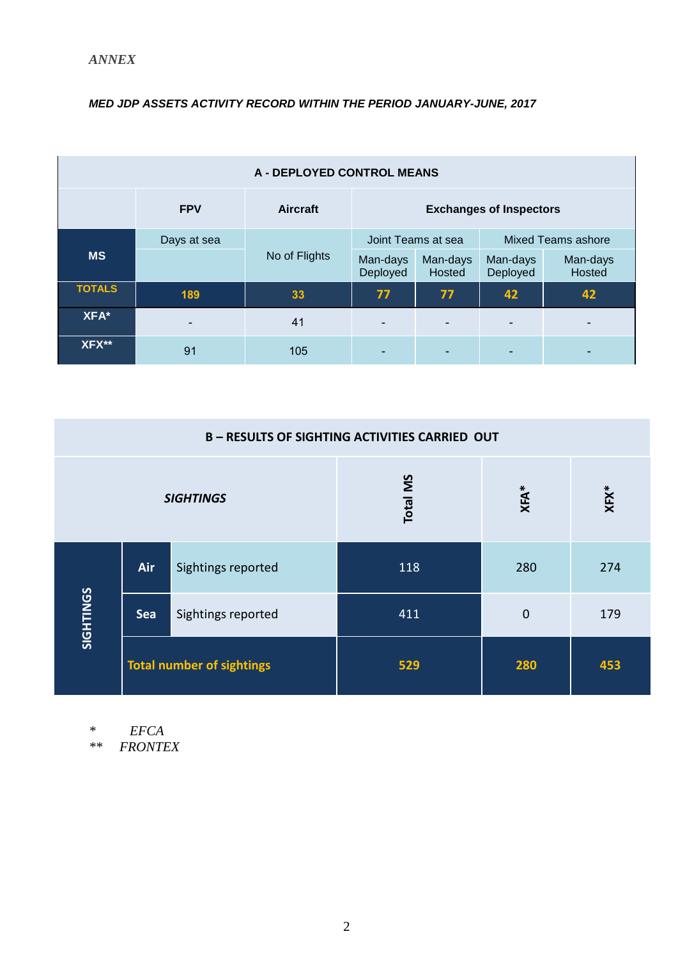## *MED JDP ASSETS ACTIVITY RECORD WITHIN THE PERIOD JANUARY-JUNE, 2017*

| <b>A - DEPLOYED CONTROL MEANS</b> |             |                 |                                |                    |                           |                    |
|-----------------------------------|-------------|-----------------|--------------------------------|--------------------|---------------------------|--------------------|
|                                   | <b>FPV</b>  | <b>Aircraft</b> | <b>Exchanges of Inspectors</b> |                    |                           |                    |
|                                   | Days at sea |                 | Joint Teams at sea             |                    | <b>Mixed Teams ashore</b> |                    |
| <b>MS</b>                         |             | No of Flights   | Man-days<br>Deployed           | Man-days<br>Hosted | Man-days<br>Deployed      | Man-days<br>Hosted |
| <b>TOTALS</b>                     | 189         | 33              | 77                             | 77                 | 42                        | 42                 |
| XFA*                              |             | 41              |                                |                    |                           |                    |
| XFX**                             | 91          | 105             |                                |                    |                           |                    |

| <b>B-RESULTS OF SIGHTING ACTIVITIES CARRIED OUT</b> |                                  |                    |                 |                |         |
|-----------------------------------------------------|----------------------------------|--------------------|-----------------|----------------|---------|
| <b>SIGHTINGS</b>                                    |                                  |                    | <b>Total MS</b> | $XFA*$         | $XFX^*$ |
|                                                     | Air                              | Sightings reported | 118             | 280            | 274     |
| SIGHTINGS                                           | Sea                              | Sightings reported | 411             | $\overline{0}$ | 179     |
|                                                     | <b>Total number of sightings</b> |                    | 529             | 280            | 453     |

*\* EFCA*

*\*\* FRONTEX*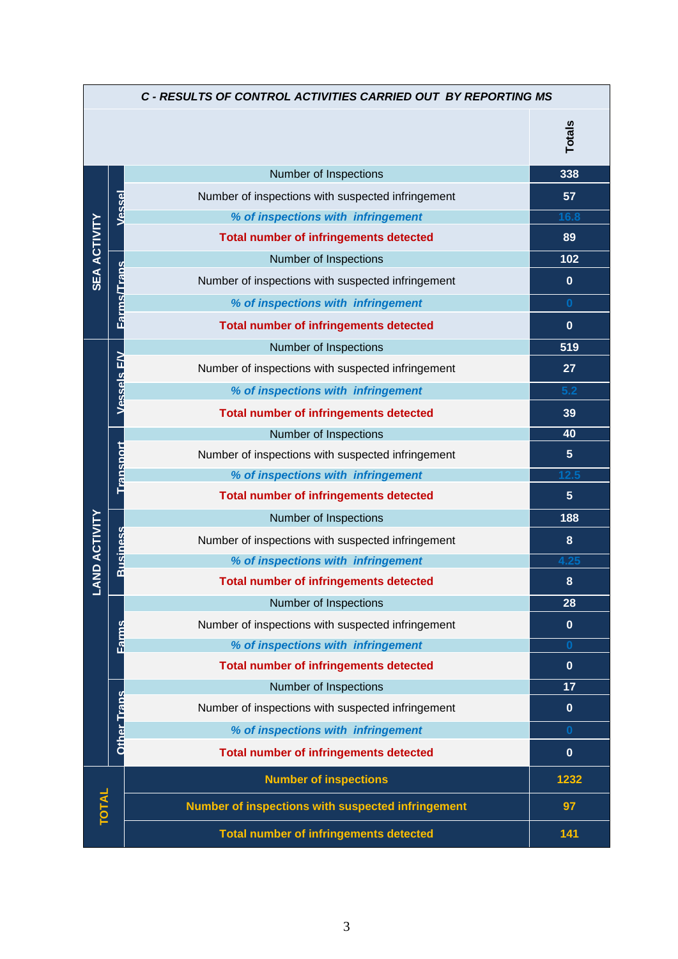| C - RESULTS OF CONTROL ACTIVITIES CARRIED OUT BY REPORTING MS |                   |                                                   |                  |  |
|---------------------------------------------------------------|-------------------|---------------------------------------------------|------------------|--|
|                                                               |                   |                                                   | <b>Totals</b>    |  |
|                                                               |                   | Number of Inspections                             | 338              |  |
|                                                               | Vessel            | Number of inspections with suspected infringement | 57               |  |
|                                                               |                   | % of inspections with infringement                | 16.8             |  |
|                                                               |                   | <b>Total number of infringements detected</b>     | 89               |  |
| <b>SEA ACTIVITY</b>                                           |                   | Number of Inspections                             | 102              |  |
|                                                               | Farms/Traps       | Number of inspections with suspected infringement | $\mathbf{0}$     |  |
|                                                               |                   | % of inspections with infringement                | $\mathbf{0}$     |  |
|                                                               |                   | <b>Total number of infringements detected</b>     | $\mathbf{0}$     |  |
|                                                               |                   | Number of Inspections                             | 519              |  |
|                                                               |                   | Number of inspections with suspected infringement | 27               |  |
|                                                               | <b>Vessels FW</b> | % of inspections with infringement                | 5.2              |  |
|                                                               |                   | <b>Total number of infringements detected</b>     | 39               |  |
|                                                               |                   | Number of Inspections                             | 40               |  |
|                                                               | Transport         | Number of inspections with suspected infringement | 5 <sup>5</sup>   |  |
|                                                               |                   | % of inspections with infringement                | 12.5             |  |
|                                                               |                   | <b>Total number of infringements detected</b>     | $5\phantom{.}$   |  |
|                                                               |                   | Number of Inspections                             | 188              |  |
| <b>LAND ACTIVITY</b>                                          |                   | Number of inspections with suspected infringement | 8                |  |
|                                                               | <b>Business</b>   | % of inspections with infringement                | 4.25             |  |
|                                                               |                   | <b>Total number of infringements detected</b>     | $\boldsymbol{8}$ |  |
|                                                               |                   | Number of Inspections                             | 28               |  |
|                                                               | <b>Earms</b>      | Number of inspections with suspected infringement | $\mathbf{0}$     |  |
|                                                               |                   | % of inspections with infringement                | $\bf{0}$         |  |
|                                                               |                   | <b>Total number of infringements detected</b>     | $\mathbf{0}$     |  |
|                                                               |                   | Number of Inspections                             | 17               |  |
|                                                               | Other Traps       | Number of inspections with suspected infringement | $\mathbf{0}$     |  |
|                                                               |                   | % of inspections with infringement                | $\bf{0}$         |  |
|                                                               |                   | <b>Total number of infringements detected</b>     | $\mathbf{0}$     |  |
|                                                               |                   | <b>Number of inspections</b>                      | 1232             |  |
| <b>TOTAL</b>                                                  |                   | Number of inspections with suspected infringement | 97               |  |
|                                                               |                   | <b>Total number of infringements detected</b>     | 141              |  |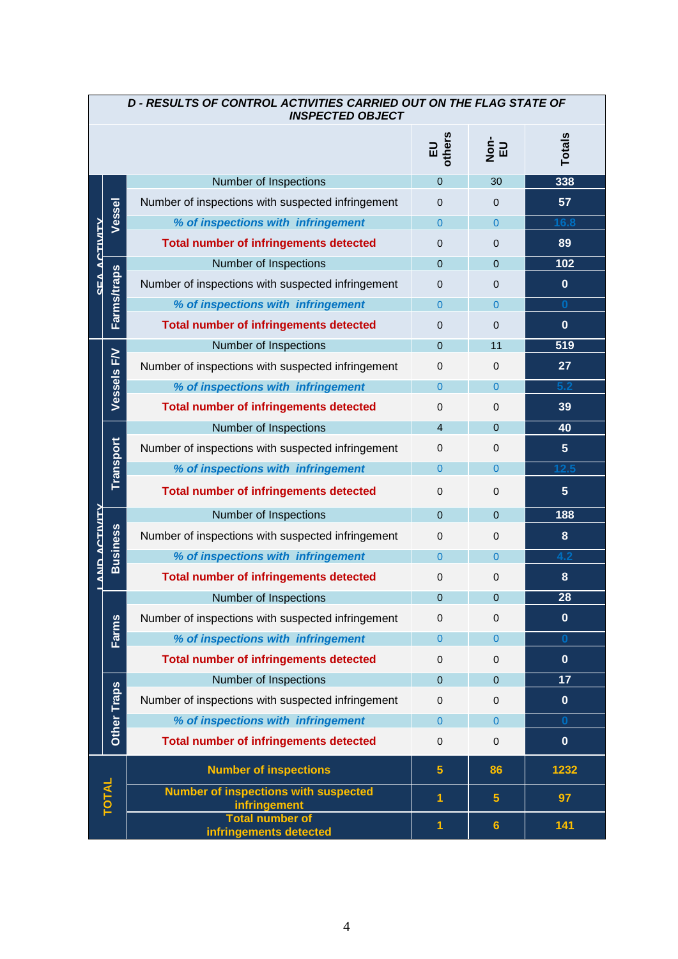| D - RESULTS OF CONTROL ACTIVITIES CARRIED OUT ON THE FLAG STATE OF<br><b>INSPECTED OBJECT</b> |                                                  |                                                             |                 |                             |                 |  |
|-----------------------------------------------------------------------------------------------|--------------------------------------------------|-------------------------------------------------------------|-----------------|-----------------------------|-----------------|--|
|                                                                                               |                                                  |                                                             | EU<br>others    | $\frac{1}{2}$ $\frac{1}{2}$ | <b>Totals</b>   |  |
|                                                                                               |                                                  | Number of Inspections                                       | $\overline{0}$  | 30                          | 338             |  |
|                                                                                               |                                                  | Number of inspections with suspected infringement           | $\Omega$        | $\Omega$                    | 57              |  |
|                                                                                               | Vessel                                           | % of inspections with infringement                          | $\overline{0}$  | $\overline{0}$              | 16.8            |  |
|                                                                                               |                                                  | <b>Total number of infringements detected</b>               | $\mathbf 0$     | 0                           | 89              |  |
|                                                                                               |                                                  | Number of Inspections                                       | $\mathbf{0}$    | $\Omega$                    | 102             |  |
| SEA ACTIVITY                                                                                  | <b>Farms/traps</b>                               | Number of inspections with suspected infringement           | $\Omega$        | 0                           | $\bf{0}$        |  |
|                                                                                               |                                                  | % of inspections with infringement                          | $\overline{0}$  | $\overline{0}$              | $\bf{0}$        |  |
|                                                                                               |                                                  | <b>Total number of infringements detected</b>               | $\mathbf 0$     | 0                           | $\bf{0}$        |  |
|                                                                                               |                                                  | Number of Inspections                                       | $\mathbf{0}$    | 11                          | 519             |  |
|                                                                                               | Vessels FV                                       | Number of inspections with suspected infringement           | 0               | $\Omega$                    | 27              |  |
|                                                                                               |                                                  | % of inspections with infringement                          | $\overline{0}$  | $\overline{0}$              | 5.2             |  |
|                                                                                               |                                                  | <b>Total number of infringements detected</b>               | 0               | 0                           | 39              |  |
|                                                                                               |                                                  | Number of Inspections                                       | $\overline{4}$  | $\Omega$                    | 40              |  |
|                                                                                               |                                                  | Number of inspections with suspected infringement           | 0               | $\Omega$                    | $5\phantom{.0}$ |  |
|                                                                                               | Transport                                        | % of inspections with infringement                          | $\overline{0}$  | $\Omega$                    | $12.5$          |  |
|                                                                                               |                                                  | <b>Total number of infringements detected</b>               | $\mathbf{0}$    | $\mathbf 0$                 | $5\phantom{.}$  |  |
|                                                                                               |                                                  | Number of Inspections                                       | $\Omega$        | $\Omega$                    | 188             |  |
|                                                                                               | <b>Business</b>                                  | Number of inspections with suspected infringement           | $\mathbf{0}$    | 0                           | 8               |  |
|                                                                                               |                                                  | % of inspections with infringement                          | $\Omega$        | $\Omega$                    | 4.2             |  |
| LAND ACTIVITY                                                                                 |                                                  | <b>Total number of infringements detected</b>               | 0               | 0                           | 8               |  |
|                                                                                               |                                                  | Number of Inspections                                       | $\mathbf 0$     | $\mathbf 0$                 | 28              |  |
|                                                                                               |                                                  | Number of inspections with suspected infringement           | $\mathbf 0$     | $\mathbf 0$                 | $\bf{0}$        |  |
|                                                                                               | Farms                                            | % of inspections with infringement                          | $\overline{0}$  | $\overline{0}$              | $\bf{0}$        |  |
|                                                                                               |                                                  | <b>Total number of infringements detected</b>               | $\Omega$        | $\Omega$                    | $\mathbf{0}$    |  |
|                                                                                               |                                                  | Number of Inspections                                       | $\mathbf{0}$    | $\Omega$                    | 17              |  |
|                                                                                               | Other Traps                                      | Number of inspections with suspected infringement           | $\mathbf{0}$    | $\Omega$                    | $\mathbf{0}$    |  |
|                                                                                               |                                                  | % of inspections with infringement                          | $\overline{0}$  | $\Omega$                    | $\bf{0}$        |  |
|                                                                                               |                                                  | <b>Total number of infringements detected</b>               | $\mathbf{0}$    | $\mathbf 0$                 | $\mathbf 0$     |  |
|                                                                                               |                                                  | <b>Number of inspections</b>                                | $5\phantom{.0}$ | 86                          | 1232            |  |
|                                                                                               | <b>TOTAL</b>                                     | <b>Number of inspections with suspected</b><br>infringement | 1               | $5\phantom{.0}$             | 97              |  |
|                                                                                               | <b>Total number of</b><br>infringements detected | $\blacktriangleleft$                                        | $6\phantom{a}$  | 141                         |                 |  |